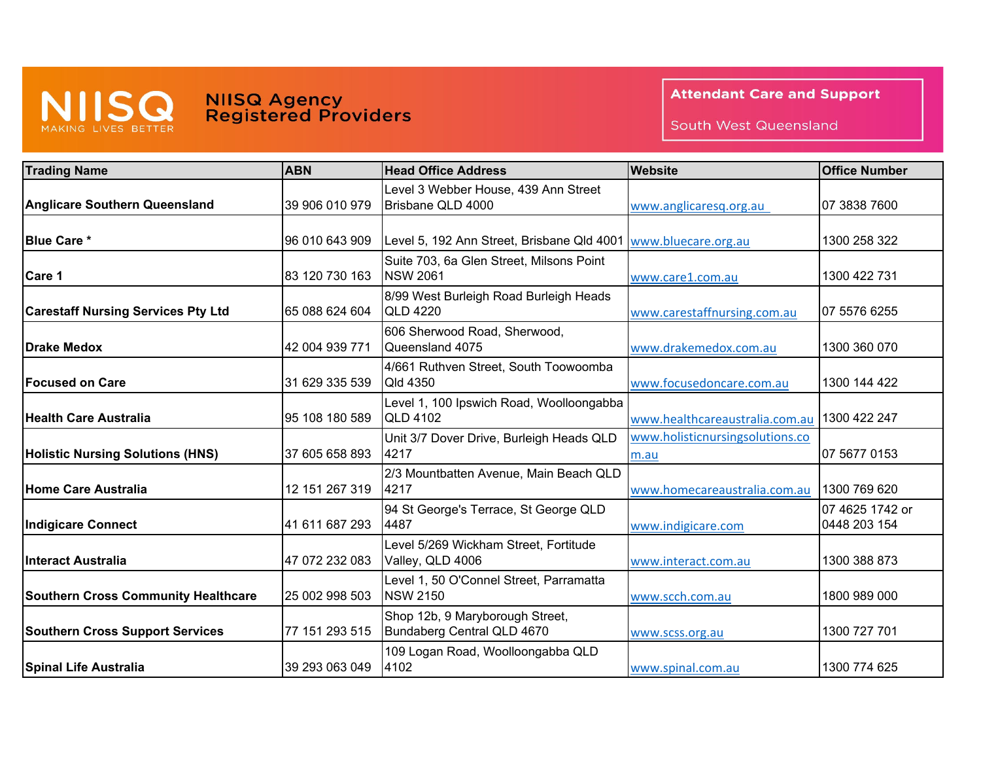

## **NIISQ Agency<br>Registered Providers**

**Attendant Care and Support** 

South West Queensland

| <b>Trading Name</b>                        | <b>ABN</b>     | <b>Head Office Address</b>                                       | <b>Website</b>                          | <b>Office Number</b>            |
|--------------------------------------------|----------------|------------------------------------------------------------------|-----------------------------------------|---------------------------------|
| <b>Anglicare Southern Queensland</b>       | 39 906 010 979 | Level 3 Webber House, 439 Ann Street<br>Brisbane QLD 4000        | www.anglicaresq.org.au                  | 07 3838 7600                    |
| <b>Blue Care *</b>                         | 96 010 643 909 | Level 5, 192 Ann Street, Brisbane Qld 4001   www.bluecare.org.au |                                         | 1300 258 322                    |
| Care 1                                     | 83 120 730 163 | Suite 703, 6a Glen Street, Milsons Point<br><b>NSW 2061</b>      | www.care1.com.au                        | 1300 422 731                    |
| <b>Carestaff Nursing Services Pty Ltd</b>  | 65 088 624 604 | 8/99 West Burleigh Road Burleigh Heads<br><b>QLD 4220</b>        | www.carestaffnursing.com.au             | 07 5576 6255                    |
| <b>Drake Medox</b>                         | 42 004 939 771 | 606 Sherwood Road, Sherwood,<br>Queensland 4075                  | www.drakemedox.com.au                   | 1300 360 070                    |
| <b>Focused on Care</b>                     | 31 629 335 539 | 4/661 Ruthven Street, South Toowoomba<br>Qld 4350                | www.focusedoncare.com.au                | 1300 144 422                    |
| lHealth Care Australia                     | 95 108 180 589 | Level 1, 100 Ipswich Road, Woolloongabba<br><b>QLD 4102</b>      | www.healthcareaustralia.com.au          | 1300 422 247                    |
| <b>Holistic Nursing Solutions (HNS)</b>    | 37 605 658 893 | Unit 3/7 Dover Drive, Burleigh Heads QLD<br>4217                 | www.holisticnursingsolutions.co<br>m.au | 07 5677 0153                    |
| Home Care Australia                        | 12 151 267 319 | 2/3 Mountbatten Avenue, Main Beach QLD<br>4217                   | www.homecareaustralia.com.au            | 1300 769 620                    |
| Indigicare Connect                         | 41 611 687 293 | 94 St George's Terrace, St George QLD<br>4487                    | www.indigicare.com                      | 07 4625 1742 or<br>0448 203 154 |
| <b>Interact Australia</b>                  | 47 072 232 083 | Level 5/269 Wickham Street, Fortitude<br>Valley, QLD 4006        | www.interact.com.au                     | 1300 388 873                    |
| <b>Southern Cross Community Healthcare</b> | 25 002 998 503 | Level 1, 50 O'Connel Street, Parramatta<br><b>NSW 2150</b>       | www.scch.com.au                         | 1800 989 000                    |
| <b>Southern Cross Support Services</b>     | 77 151 293 515 | Shop 12b, 9 Maryborough Street,<br>Bundaberg Central QLD 4670    | www.scss.org.au                         | 1300 727 701                    |
| <b>Spinal Life Australia</b>               | 39 293 063 049 | 109 Logan Road, Woolloongabba QLD<br>4102                        | www.spinal.com.au                       | 1300 774 625                    |